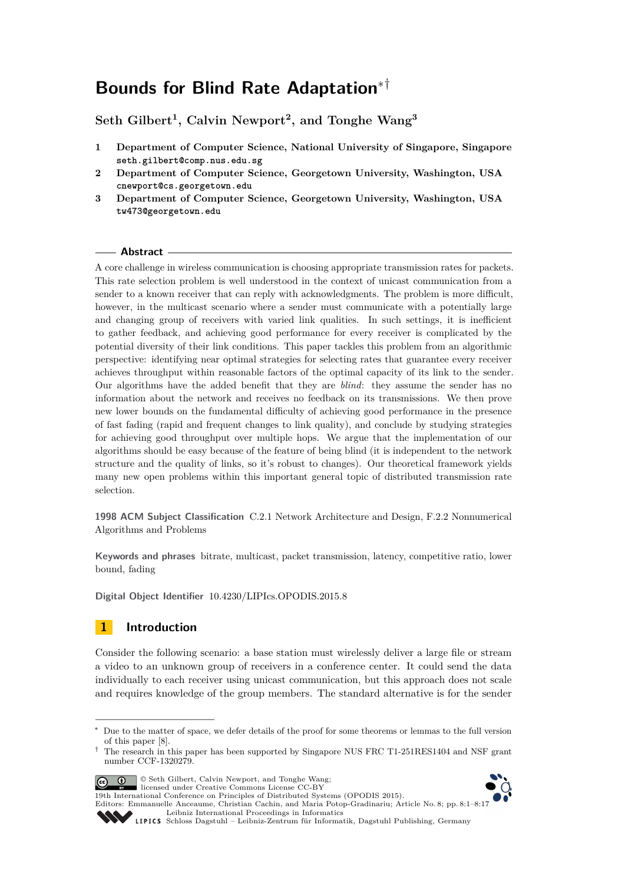# **Bounds for Blind Rate Adaptation**∗†

**Seth Gilbert<sup>1</sup> , Calvin Newport<sup>2</sup> , and Tonghe Wang<sup>3</sup>**

- **1 Department of Computer Science, National University of Singapore, Singapore seth.gilbert@comp.nus.edu.sg**
- **2 Department of Computer Science, Georgetown University, Washington, USA cnewport@cs.georgetown.edu**
- **3 Department of Computer Science, Georgetown University, Washington, USA tw473@georgetown.edu**

## **Abstract**

A core challenge in wireless communication is choosing appropriate transmission rates for packets. This rate selection problem is well understood in the context of unicast communication from a sender to a known receiver that can reply with acknowledgments. The problem is more difficult, however, in the multicast scenario where a sender must communicate with a potentially large and changing group of receivers with varied link qualities. In such settings, it is inefficient to gather feedback, and achieving good performance for every receiver is complicated by the potential diversity of their link conditions. This paper tackles this problem from an algorithmic perspective: identifying near optimal strategies for selecting rates that guarantee every receiver achieves throughput within reasonable factors of the optimal capacity of its link to the sender. Our algorithms have the added benefit that they are *blind*: they assume the sender has no information about the network and receives no feedback on its transmissions. We then prove new lower bounds on the fundamental difficulty of achieving good performance in the presence of fast fading (rapid and frequent changes to link quality), and conclude by studying strategies for achieving good throughput over multiple hops. We argue that the implementation of our algorithms should be easy because of the feature of being blind (it is independent to the network structure and the quality of links, so it's robust to changes). Our theoretical framework yields many new open problems within this important general topic of distributed transmission rate selection.

**1998 ACM Subject Classification** C.2.1 Network Architecture and Design, F.2.2 Nonnumerical Algorithms and Problems

**Keywords and phrases** bitrate, multicast, packet transmission, latency, competitive ratio, lower bound, fading

**Digital Object Identifier** [10.4230/LIPIcs.OPODIS.2015.8](http://dx.doi.org/10.4230/LIPIcs.OPODIS.2015.8)

# **1 Introduction**

Consider the following scenario: a base station must wirelessly deliver a large file or stream a video to an unknown group of receivers in a conference center. It could send the data individually to each receiver using unicast communication, but this approach does not scale and requires knowledge of the group members. The standard alternative is for the sender

<sup>†</sup> The research in this paper has been supported by Singapore NUS FRC T1-251RES1404 and NSF grant number CCF-1320279.



© Seth Gilbert, Calvin Newport, and Tonghe Wang; licensed under Creative Commons License CC-BY

19th International Conference on Principles of Distributed Systems (OPODIS 2015).

Editors: Emmanuelle Anceaume, Christian Cachin, and Maria Potop-Gradinariu; Article No. 8; pp. 8:1–8[:17](#page-16-0)

[Leibniz International Proceedings in Informatics](http://www.dagstuhl.de/lipics/)



Leibniz international Froceedings in missimosischer Magstuhl Publishing, Germany<br>LIPICS [Schloss Dagstuhl – Leibniz-Zentrum für Informatik, Dagstuhl Publishing, Germany](http://www.dagstuhl.de)

Due to the matter of space, we defer details of the proof for some theorems or lemmas to the full version of this paper [\[8\]](#page-15-0).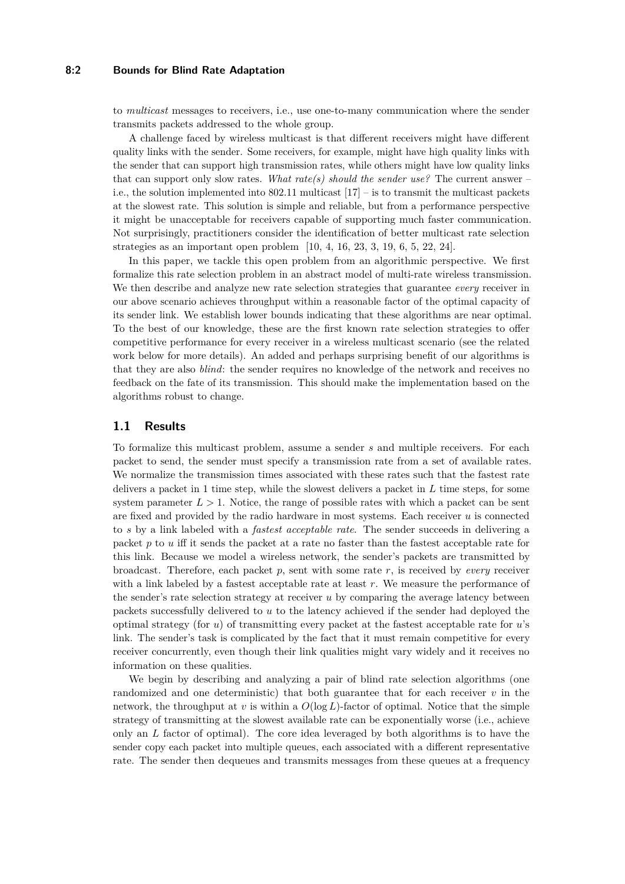## **8:2 Bounds for Blind Rate Adaptation**

to *multicast* messages to receivers, i.e., use one-to-many communication where the sender transmits packets addressed to the whole group.

A challenge faced by wireless multicast is that different receivers might have different quality links with the sender. Some receivers, for example, might have high quality links with the sender that can support high transmission rates, while others might have low quality links that can support only slow rates. *What rate(s) should the sender use?* The current answer – i.e., the solution implemented into  $802.11$  multicast  $[17]$  – is to transmit the multicast packets at the slowest rate. This solution is simple and reliable, but from a performance perspective it might be unacceptable for receivers capable of supporting much faster communication. Not surprisingly, practitioners consider the identification of better multicast rate selection strategies as an important open problem [\[10,](#page-15-2) [4,](#page-15-3) [16,](#page-15-4) [23,](#page-16-1) [3,](#page-15-5) [19,](#page-16-2) [6,](#page-15-6) [5,](#page-15-7) [22,](#page-16-3) [24\]](#page-16-4).

In this paper, we tackle this open problem from an algorithmic perspective. We first formalize this rate selection problem in an abstract model of multi-rate wireless transmission. We then describe and analyze new rate selection strategies that guarantee *every* receiver in our above scenario achieves throughput within a reasonable factor of the optimal capacity of its sender link. We establish lower bounds indicating that these algorithms are near optimal. To the best of our knowledge, these are the first known rate selection strategies to offer competitive performance for every receiver in a wireless multicast scenario (see the related work below for more details). An added and perhaps surprising benefit of our algorithms is that they are also *blind*: the sender requires no knowledge of the network and receives no feedback on the fate of its transmission. This should make the implementation based on the algorithms robust to change.

## **1.1 Results**

To formalize this multicast problem, assume a sender *s* and multiple receivers. For each packet to send, the sender must specify a transmission rate from a set of available rates. We normalize the transmission times associated with these rates such that the fastest rate delivers a packet in 1 time step, while the slowest delivers a packet in *L* time steps, for some system parameter  $L > 1$ . Notice, the range of possible rates with which a packet can be sent are fixed and provided by the radio hardware in most systems. Each receiver *u* is connected to *s* by a link labeled with a *fastest acceptable rate*. The sender succeeds in delivering a packet *p* to *u* iff it sends the packet at a rate no faster than the fastest acceptable rate for this link. Because we model a wireless network, the sender's packets are transmitted by broadcast. Therefore, each packet *p*, sent with some rate *r*, is received by *every* receiver with a link labeled by a fastest acceptable rate at least *r*. We measure the performance of the sender's rate selection strategy at receiver *u* by comparing the average latency between packets successfully delivered to *u* to the latency achieved if the sender had deployed the optimal strategy (for *u*) of transmitting every packet at the fastest acceptable rate for *u*'s link. The sender's task is complicated by the fact that it must remain competitive for every receiver concurrently, even though their link qualities might vary widely and it receives no information on these qualities.

We begin by describing and analyzing a pair of blind rate selection algorithms (one randomized and one deterministic) that both guarantee that for each receiver *v* in the network, the throughput at *v* is within a  $O(\log L)$ -factor of optimal. Notice that the simple strategy of transmitting at the slowest available rate can be exponentially worse (i.e., achieve only an *L* factor of optimal). The core idea leveraged by both algorithms is to have the sender copy each packet into multiple queues, each associated with a different representative rate. The sender then dequeues and transmits messages from these queues at a frequency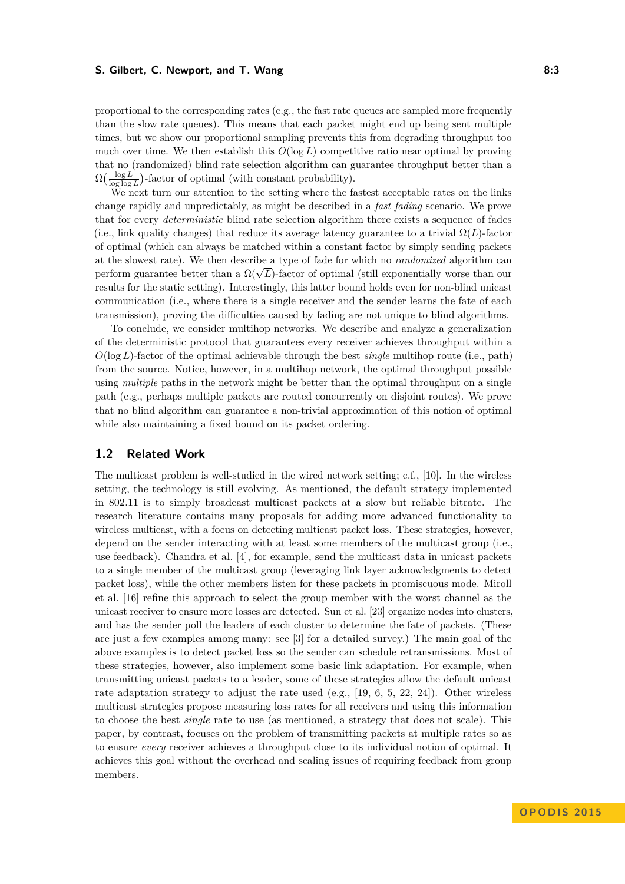#### **S. Gilbert, C. Newport, and T. Wang 8:3**

proportional to the corresponding rates (e.g., the fast rate queues are sampled more frequently than the slow rate queues). This means that each packet might end up being sent multiple times, but we show our proportional sampling prevents this from degrading throughput too much over time. We then establish this  $O(\log L)$  competitive ratio near optimal by proving that no (randomized) blind rate selection algorithm can guarantee throughput better than a  $\Omega\left(\frac{\log L}{\log \log L}\right)$ -factor of optimal (with constant probability).

We next turn our attention to the setting where the fastest acceptable rates on the links change rapidly and unpredictably, as might be described in a *fast fading* scenario. We prove that for every *deterministic* blind rate selection algorithm there exists a sequence of fades (i.e., link quality changes) that reduce its average latency guarantee to a trivial  $\Omega(L)$ -factor of optimal (which can always be matched within a constant factor by simply sending packets at the slowest rate). We then describe a type of fade for which no *randomized* algorithm can at the slowest rate). We then describe a type of lade for which no *randomized* algorithm can<br>perform guarantee better than a  $\Omega(\sqrt{L})$ -factor of optimal (still exponentially worse than our results for the static setting). Interestingly, this latter bound holds even for non-blind unicast communication (i.e., where there is a single receiver and the sender learns the fate of each transmission), proving the difficulties caused by fading are not unique to blind algorithms.

To conclude, we consider multihop networks. We describe and analyze a generalization of the deterministic protocol that guarantees every receiver achieves throughput within a *O*(log *L*)-factor of the optimal achievable through the best *single* multihop route (i.e., path) from the source. Notice, however, in a multihop network, the optimal throughput possible using *multiple* paths in the network might be better than the optimal throughput on a single path (e.g., perhaps multiple packets are routed concurrently on disjoint routes). We prove that no blind algorithm can guarantee a non-trivial approximation of this notion of optimal while also maintaining a fixed bound on its packet ordering.

# **1.2 Related Work**

The multicast problem is well-studied in the wired network setting; c.f., [\[10\]](#page-15-2). In the wireless setting, the technology is still evolving. As mentioned, the default strategy implemented in 802.11 is to simply broadcast multicast packets at a slow but reliable bitrate. The research literature contains many proposals for adding more advanced functionality to wireless multicast, with a focus on detecting multicast packet loss. These strategies, however, depend on the sender interacting with at least some members of the multicast group (i.e., use feedback). Chandra et al. [\[4\]](#page-15-3), for example, send the multicast data in unicast packets to a single member of the multicast group (leveraging link layer acknowledgments to detect packet loss), while the other members listen for these packets in promiscuous mode. Miroll et al. [\[16\]](#page-15-4) refine this approach to select the group member with the worst channel as the unicast receiver to ensure more losses are detected. Sun et al. [\[23\]](#page-16-1) organize nodes into clusters, and has the sender poll the leaders of each cluster to determine the fate of packets. (These are just a few examples among many: see [\[3\]](#page-15-5) for a detailed survey.) The main goal of the above examples is to detect packet loss so the sender can schedule retransmissions. Most of these strategies, however, also implement some basic link adaptation. For example, when transmitting unicast packets to a leader, some of these strategies allow the default unicast rate adaptation strategy to adjust the rate used (e.g., [\[19,](#page-16-2) [6,](#page-15-6) [5,](#page-15-7) [22,](#page-16-3) [24\]](#page-16-4)). Other wireless multicast strategies propose measuring loss rates for all receivers and using this information to choose the best *single* rate to use (as mentioned, a strategy that does not scale). This paper, by contrast, focuses on the problem of transmitting packets at multiple rates so as to ensure *every* receiver achieves a throughput close to its individual notion of optimal. It achieves this goal without the overhead and scaling issues of requiring feedback from group members.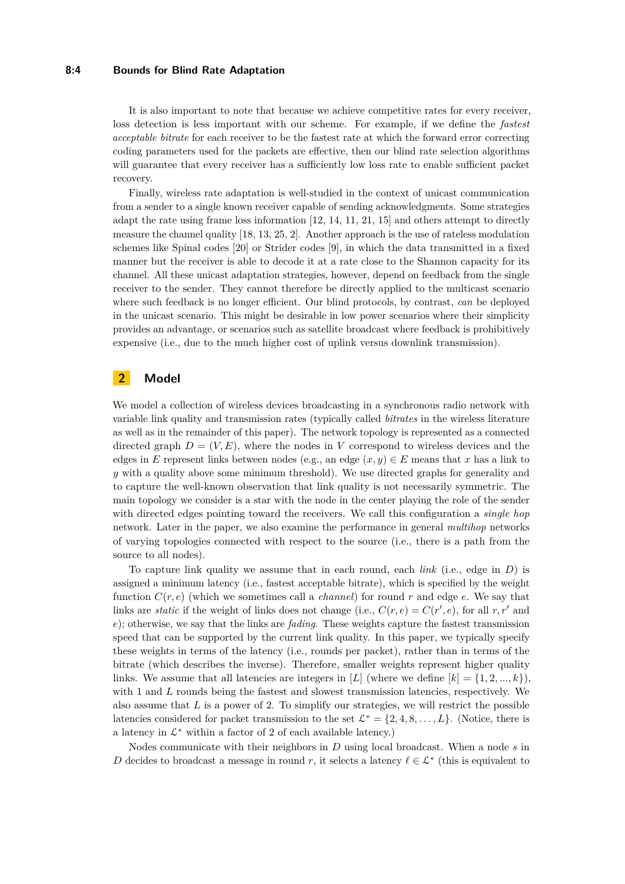#### **8:4 Bounds for Blind Rate Adaptation**

It is also important to note that because we achieve competitive rates for every receiver, loss detection is less important with our scheme. For example, if we define the *fastest acceptable bitrate* for each receiver to be the fastest rate at which the forward error correcting coding parameters used for the packets are effective, then our blind rate selection algorithms will guarantee that every receiver has a sufficiently low loss rate to enable sufficient packet recovery.

Finally, wireless rate adaptation is well-studied in the context of unicast communication from a sender to a single known receiver capable of sending acknowledgments. Some strategies adapt the rate using frame loss information [\[12,](#page-15-8) [14,](#page-15-9) [11,](#page-15-10) [21,](#page-16-5) [15\]](#page-15-11) and others attempt to directly measure the channel quality [\[18,](#page-16-6) [13,](#page-15-12) [25,](#page-16-7) [2\]](#page-15-13). Another approach is the use of rateless modulation schemes like Spinal codes [\[20\]](#page-16-8) or Strider codes [\[9\]](#page-15-14), in which the data transmitted in a fixed manner but the receiver is able to decode it at a rate close to the Shannon capacity for its channel. All these unicast adaptation strategies, however, depend on feedback from the single receiver to the sender. They cannot therefore be directly applied to the multicast scenario where such feedback is no longer efficient. Our blind protocols, by contrast, *can* be deployed in the unicast scenario. This might be desirable in low power scenarios where their simplicity provides an advantage, or scenarios such as satellite broadcast where feedback is prohibitively expensive (i.e., due to the much higher cost of uplink versus downlink transmission).

# <span id="page-3-0"></span>**2 Model**

We model a collection of wireless devices broadcasting in a synchronous radio network with variable link quality and transmission rates (typically called *bitrates* in the wireless literature as well as in the remainder of this paper). The network topology is represented as a connected directed graph  $D = (V, E)$ , where the nodes in V correspond to wireless devices and the edges in *E* represent links between nodes (e.g., an edge  $(x, y) \in E$  means that *x* has a link to *y* with a quality above some minimum threshold). We use directed graphs for generality and to capture the well-known observation that link quality is not necessarily symmetric. The main topology we consider is a star with the node in the center playing the role of the sender with directed edges pointing toward the receivers. We call this configuration a *single hop* network. Later in the paper, we also examine the performance in general *multihop* networks of varying topologies connected with respect to the source (i.e., there is a path from the source to all nodes).

To capture link quality we assume that in each round, each *link* (i.e., edge in *D*) is assigned a minimum latency (i.e., fastest acceptable bitrate), which is specified by the weight function  $C(r, e)$  (which we sometimes call a *channel*) for round r and edge  $e$ . We say that links are *static* if the weight of links does not change (i.e.,  $C(r, e) = C(r', e)$ , for all  $r, r'$  and *e*); otherwise, we say that the links are *fading*. These weights capture the fastest transmission speed that can be supported by the current link quality. In this paper, we typically specify these weights in terms of the latency (i.e., rounds per packet), rather than in terms of the bitrate (which describes the inverse). Therefore, smaller weights represent higher quality links. We assume that all latencies are integers in [*L*] (where we define  $[k] = \{1, 2, ..., k\}$ ), with 1 and L rounds being the fastest and slowest transmission latencies, respectively. We also assume that *L* is a power of 2. To simplify our strategies, we will restrict the possible latencies considered for packet transmission to the set  $\mathcal{L}^* = \{2, 4, 8, \ldots, L\}$ . (Notice, there is a latency in  $\mathcal{L}^*$  within a factor of 2 of each available latency.)

Nodes communicate with their neighbors in *D* using local broadcast. When a node *s* in *D* decides to broadcast a message in round *r*, it selects a latency  $\ell \in \mathcal{L}^*$  (this is equivalent to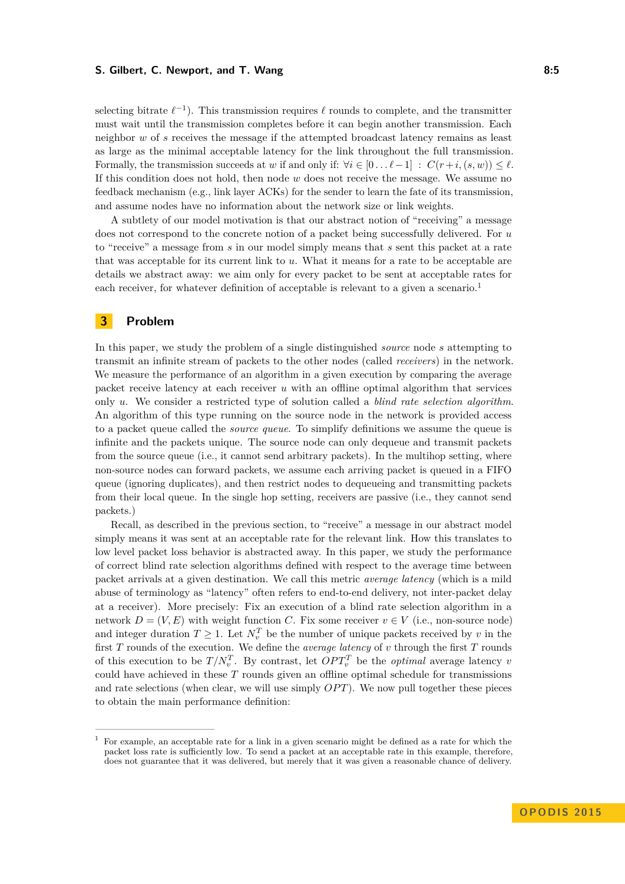#### **S. Gilbert, C. Newport, and T. Wang 8:5** and the state of the state  $\theta$ :5

selecting bitrate  $\ell^{-1}$ ). This transmission requires  $\ell$  rounds to complete, and the transmitter must wait until the transmission completes before it can begin another transmission. Each neighbor *w* of *s* receives the message if the attempted broadcast latency remains as least as large as the minimal acceptable latency for the link throughout the full transmission. Formally, the transmission succeeds at *w* if and only if:  $\forall i \in [0 \dots \ell-1] : C(r+i, (s, w)) \leq \ell$ . If this condition does not hold, then node *w* does not receive the message. We assume no feedback mechanism (e.g., link layer ACKs) for the sender to learn the fate of its transmission, and assume nodes have no information about the network size or link weights.

A subtlety of our model motivation is that our abstract notion of "receiving" a message does not correspond to the concrete notion of a packet being successfully delivered. For *u* to "receive" a message from *s* in our model simply means that *s* sent this packet at a rate that was acceptable for its current link to *u*. What it means for a rate to be acceptable are details we abstract away: we aim only for every packet to be sent at acceptable rates for each receiver, for whatever definition of acceptable is relevant to a given a scenario.<sup>[1](#page-4-0)</sup>

# **3 Problem**

In this paper, we study the problem of a single distinguished *source* node *s* attempting to transmit an infinite stream of packets to the other nodes (called *receivers*) in the network. We measure the performance of an algorithm in a given execution by comparing the average packet receive latency at each receiver *u* with an offline optimal algorithm that services only *u*. We consider a restricted type of solution called a *blind rate selection algorithm*. An algorithm of this type running on the source node in the network is provided access to a packet queue called the *source queue*. To simplify definitions we assume the queue is infinite and the packets unique. The source node can only dequeue and transmit packets from the source queue (i.e., it cannot send arbitrary packets). In the multihop setting, where non-source nodes can forward packets, we assume each arriving packet is queued in a FIFO queue (ignoring duplicates), and then restrict nodes to dequeueing and transmitting packets from their local queue. In the single hop setting, receivers are passive (i.e., they cannot send packets.)

Recall, as described in the previous section, to "receive" a message in our abstract model simply means it was sent at an acceptable rate for the relevant link. How this translates to low level packet loss behavior is abstracted away. In this paper, we study the performance of correct blind rate selection algorithms defined with respect to the average time between packet arrivals at a given destination. We call this metric *average latency* (which is a mild abuse of terminology as "latency" often refers to end-to-end delivery, not inter-packet delay at a receiver). More precisely: Fix an execution of a blind rate selection algorithm in a network  $D = (V, E)$  with weight function *C*. Fix some receiver  $v \in V$  (i.e., non-source node) and integer duration  $T \geq 1$ . Let  $N_v^T$  be the number of unique packets received by *v* in the first *T* rounds of the execution. We define the *average latency* of *v* through the first *T* rounds of this execution to be  $T/N_v^T$ . By contrast, let  $OPT_v^T$  be the *optimal* average latency *v* could have achieved in these *T* rounds given an offline optimal schedule for transmissions and rate selections (when clear, we will use simply *OPT*). We now pull together these pieces to obtain the main performance definition:

<span id="page-4-0"></span><sup>1</sup> For example, an acceptable rate for a link in a given scenario might be defined as a rate for which the packet loss rate is sufficiently low. To send a packet at an acceptable rate in this example, therefore, does not guarantee that it was delivered, but merely that it was given a reasonable chance of delivery.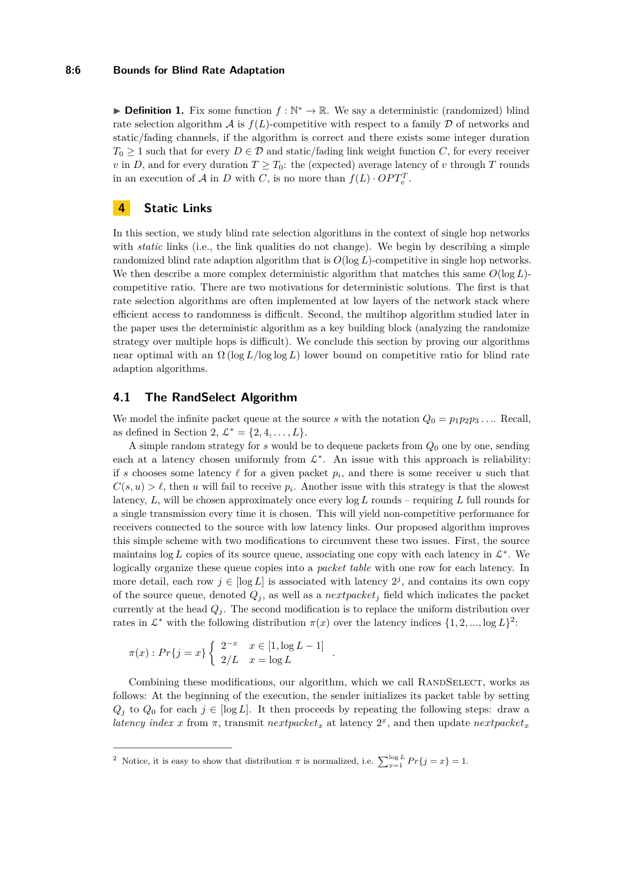#### **8:6 Bounds for Blind Rate Adaptation**

**Definition 1.** Fix some function  $f : \mathbb{N}^* \to \mathbb{R}$ . We say a deterministic (randomized) blind rate selection algorithm  $\mathcal A$  is  $f(L)$ -competitive with respect to a family  $\mathcal D$  of networks and static/fading channels, if the algorithm is correct and there exists some integer duration  $T_0 \geq 1$  such that for every  $D \in \mathcal{D}$  and static/fading link weight function *C*, for every receiver *v* in *D*, and for every duration  $T \geq T_0$ : the (expected) average latency of *v* through *T* rounds in an execution of  $A$  in  $D$  with  $C$ , is no more than  $f(L) \cdot OPT_v^T$ .

## **4 Static Links**

In this section, we study blind rate selection algorithms in the context of single hop networks with *static* links (i.e., the link qualities do not change). We begin by describing a simple randomized blind rate adaption algorithm that is *O*(log *L*)-competitive in single hop networks. We then describe a more complex deterministic algorithm that matches this same  $O(\log L)$ competitive ratio. There are two motivations for deterministic solutions. The first is that rate selection algorithms are often implemented at low layers of the network stack where efficient access to randomness is difficult. Second, the multihop algorithm studied later in the paper uses the deterministic algorithm as a key building block (analyzing the randomize strategy over multiple hops is difficult). We conclude this section by proving our algorithms near optimal with an Ω (log *L/*log log *L*) lower bound on competitive ratio for blind rate adaption algorithms.

## **4.1 The RandSelect Algorithm**

We model the infinite packet queue at the source *s* with the notation  $Q_0 = p_1 p_2 p_3 \dots$  Recall, as defined in Section [2,](#page-3-0)  $\mathcal{L}^* = \{2, 4, ..., L\}.$ 

A simple random strategy for *s* would be to dequeue packets from *Q*<sup>0</sup> one by one, sending each at a latency chosen uniformly from  $\mathcal{L}^*$ . An issue with this approach is reliability: if *s* chooses some latency  $\ell$  for a given packet  $p_i$ , and there is some receiver  $u$  such that  $C(s, u) > \ell$ , then *u* will fail to receive  $p_i$ . Another issue with this strategy is that the slowest latency, *L*, will be chosen approximately once every log *L* rounds – requiring *L* full rounds for a single transmission every time it is chosen. This will yield non-competitive performance for receivers connected to the source with low latency links. Our proposed algorithm improves this simple scheme with two modifications to circumvent these two issues. First, the source maintains  $\log L$  copies of its source queue, associating one copy with each latency in  $\mathcal{L}^*$ . We logically organize these queue copies into a *packet table* with one row for each latency. In more detail, each row  $j \in [\log L]$  is associated with latency  $2^j$ , and contains its own copy of the source queue, denoted  $Q_j$ , as well as a *nextpacket<sub>j</sub>* field which indicates the packet currently at the head  $Q_i$ . The second modification is to replace the uniform distribution over rates in  $\mathcal{L}^*$  with the following distribution  $\pi(x)$  over the latency indices  $\{1, 2, ..., \log L\}^2$  $\{1, 2, ..., \log L\}^2$  $\{1, 2, ..., \log L\}^2$ :

$$
\pi(x) : Pr\{j = x\} \begin{cases} 2^{-x} & x \in [1, \log L - 1] \\ 2/L & x = \log L \end{cases}
$$

Combining these modifications, our algorithm, which we call RANDSELECT, works as follows: At the beginning of the execution, the sender initializes its packet table by setting  $Q_j$  to  $Q_0$  for each  $j \in [\log L]$ . It then proceeds by repeating the following steps: draw a *latency index x* from  $\pi$ , transmit *nextpacket<sub>x</sub>* at latency  $2^x$ , and then update *nextpacket<sub>x</sub>* 

*.*

<span id="page-5-0"></span><sup>2</sup> Notice, it is easy to show that distribution  $\pi$  is normalized, i.e.  $\sum_{x=1}^{\log L} Pr\{j = x\} = 1$ .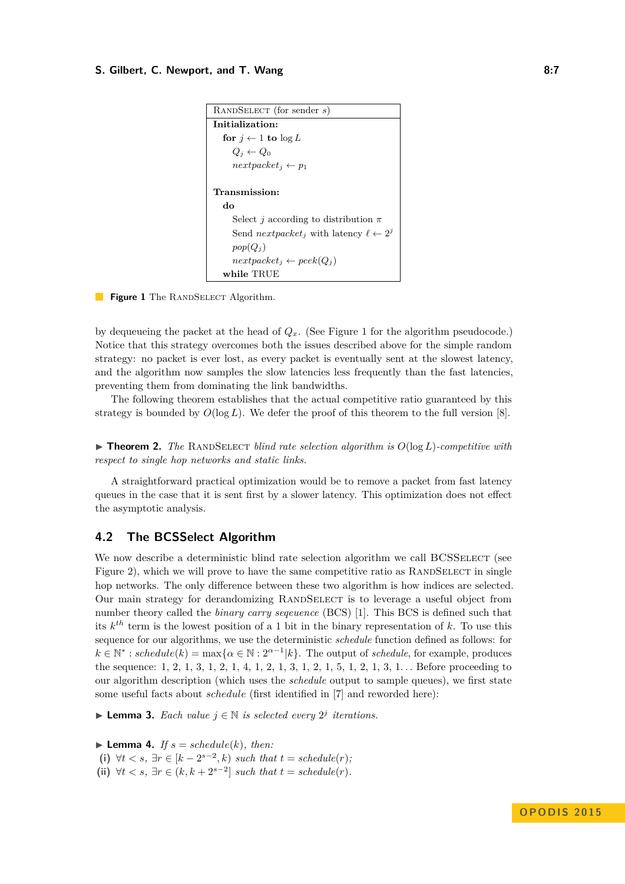#### <span id="page-6-0"></span>**S. Gilbert, C. Newport, and T. Wang 8:7 8:7 8:7 8:7**



**Figure 1** The RANDSELECT Algorithm.

by dequeueing the packet at the head of  $Q_x$ . (See Figure [1](#page-6-0) for the algorithm pseudocode.) Notice that this strategy overcomes both the issues described above for the simple random strategy: no packet is ever lost, as every packet is eventually sent at the slowest latency, and the algorithm now samples the slow latencies less frequently than the fast latencies, preventing them from dominating the link bandwidths.

The following theorem establishes that the actual competitive ratio guaranteed by this strategy is bounded by  $O(\log L)$ . We defer the proof of this theorem to the full version [\[8\]](#page-15-0).

 $\triangleright$  **Theorem 2.** The RANDSELECT blind rate selection algorithm is  $O(\log L)$ -competitive with *respect to single hop networks and static links.*

A straightforward practical optimization would be to remove a packet from fast latency queues in the case that it is sent first by a slower latency. This optimization does not effect the asymptotic analysis.

# **4.2 The BCSSelect Algorithm**

We now describe a deterministic blind rate selection algorithm we call BCSSELECT (see Figure [2\)](#page-7-0), which we will prove to have the same competitive ratio as RANDSELECT in single hop networks. The only difference between these two algorithm is how indices are selected. Our main strategy for derandomizing RANDSELECT is to leverage a useful object from number theory called the *binary carry seqeuence* (BCS) [\[1\]](#page-15-15). This BCS is defined such that its *k th* term is the lowest position of a 1 bit in the binary representation of *k*. To use this sequence for our algorithms, we use the deterministic *schedule* function defined as follows: for  $k \in \mathbb{N}^* : schedule(k) = \max\{\alpha \in \mathbb{N} : 2^{\alpha-1}|k\}.$  The output of *schedule*, for example, produces the sequence: 1, 2, 1, 3, 1, 2, 1, 4, 1, 2, 1, 3, 1, 2, 1, 5, 1, 2, 1, 3, 1. . . Before proceeding to our algorithm description (which uses the *schedule* output to sample queues), we first state some useful facts about *schedule* (first identified in [\[7\]](#page-15-16) and reworded here):

<span id="page-6-1"></span>▶ **Lemma 3.** *Each value*  $j \in \mathbb{N}$  *is selected every*  $2^j$  *iterations.* 

<span id="page-6-2"></span> $\blacktriangleright$  **Lemma 4.** *If*  $s = schedule(k)$ *, then:* (i)  $\forall t < s, \exists r \in [k-2^{s-2}, k) \text{ such that } t = \text{schedule}(r);$ (ii)  $\forall t < s, \exists r \in (k, k + 2^{s-2}] \text{ such that } t = \text{echedule}(r).$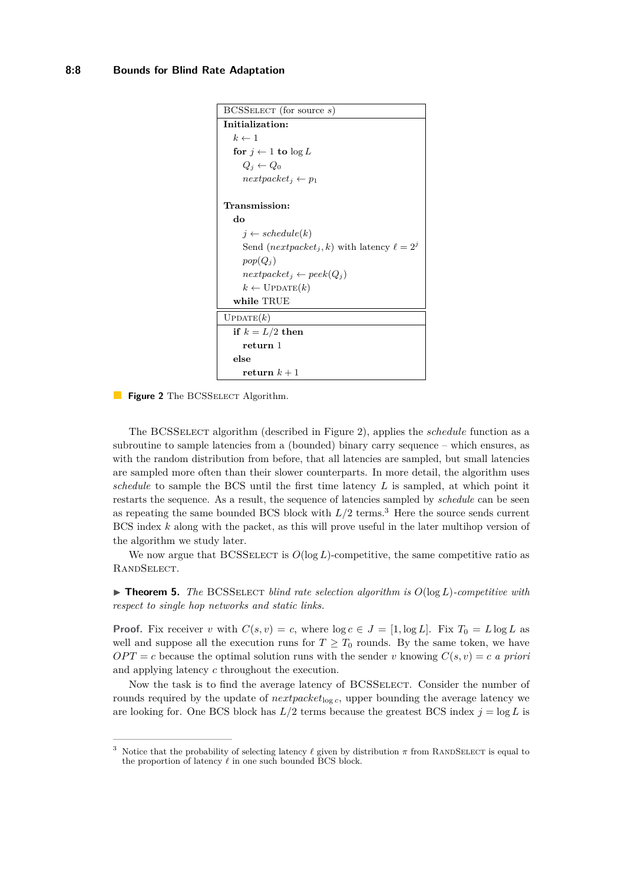```
BCSSelect (for source s)
Initialization:
  k \leftarrow 1for j \leftarrow 1 to \log LQ_i \leftarrow Q_0
Transmission:
  do
     i \leftarrow schedule(k)Send (nextpacket<sub>i</sub>, k) with latency \ell = 2^jpop(Q_j)nextpacket_i \leftarrow peek(Q_i)k \leftarrow \text{UPDATE}(k)while TRUE
UPDATE(k)if k = L/2 then
     return 1
  else
     return k + 1
```
**Figure 2** The BCSSELECT Algorithm.

The BCSSelect algorithm (described in Figure [2\)](#page-7-0), applies the *schedule* function as a subroutine to sample latencies from a (bounded) binary carry sequence – which ensures, as with the random distribution from before, that all latencies are sampled, but small latencies are sampled more often than their slower counterparts. In more detail, the algorithm uses *schedule* to sample the BCS until the first time latency *L* is sampled, at which point it restarts the sequence. As a result, the sequence of latencies sampled by *schedule* can be seen as repeating the same bounded BCS block with  $L/2$  terms.<sup>[3](#page-7-1)</sup> Here the source sends current BCS index *k* along with the packet, as this will prove useful in the later multihop version of the algorithm we study later.

We now argue that BCSSELECT is  $O(\log L)$ -competitive, the same competitive ratio as RandSelect.

<span id="page-7-2"></span> $\triangleright$  **Theorem 5.** *The* BCSSELECT *blind rate selection algorithm is*  $O(\log L)$ *-competitive with respect to single hop networks and static links.*

**Proof.** Fix receiver *v* with  $C(s, v) = c$ , where  $\log c \in J = [1, \log L]$ . Fix  $T_0 = L \log L$  as well and suppose all the execution runs for  $T \geq T_0$  rounds. By the same token, we have  $OPT = c$  because the optimal solution runs with the sender *v* knowing  $C(s, v) = c$  *a priori* and applying latency *c* throughout the execution.

Now the task is to find the average latency of BCSSELECT. Consider the number of rounds required by the update of  $next_{log c}$ , upper bounding the average latency we are looking for. One BCS block has  $L/2$  terms because the greatest BCS index  $j = \log L$  is

<span id="page-7-1"></span><sup>&</sup>lt;sup>3</sup> Notice that the probability of selecting latency  $\ell$  given by distribution  $\pi$  from RANDSELECT is equal to the proportion of latency  $\ell$  in one such bounded BCS block.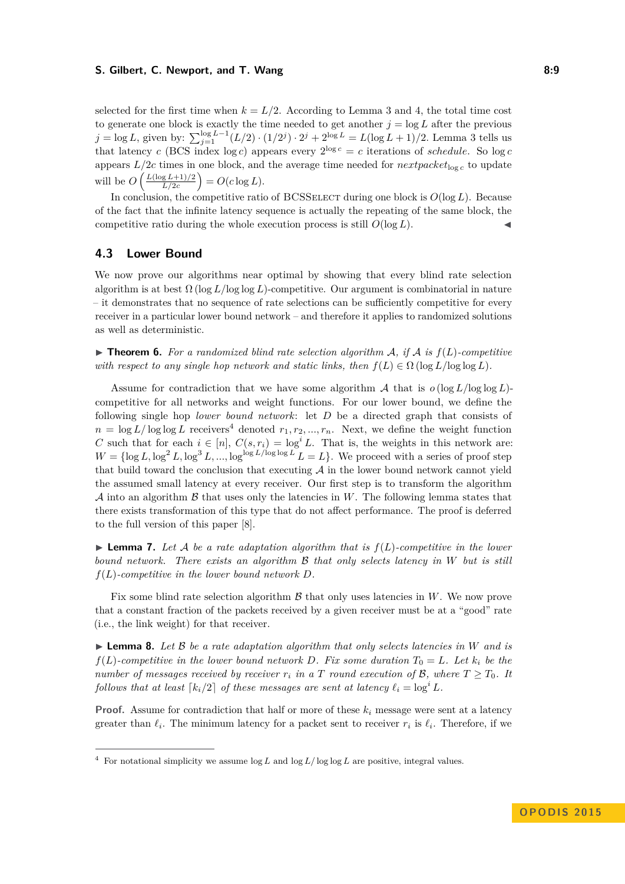#### **S. Gilbert, C. Newport, and T. Wang 8:9 8:9 8:9 8:9**

selected for the first time when  $k = L/2$ . According to Lemma [3](#page-6-1) and [4,](#page-6-2) the total time cost to generate one block is exactly the time needed to get another  $j = \log L$  after the previous *j* = log *L*, given by:  $\sum_{j=1}^{\log L-1} (L/2) \cdot (1/2^j) \cdot 2^j + 2^{\log L} = L(\log L + 1)/2$ *.* Lemma [3](#page-6-1) tells us that latency *c* (BCS index log *c*) appears every  $2^{\log c} = c$  iterations of *schedule*. So log *c* appears  $L/2c$  times in one block, and the average time needed for  $nextpacket_{\log c}$  to update will be  $O\left(\frac{L(\log L+1)/2}{L/2c}\right)$  $\left(\frac{g(L+1)/2}{L/2c}\right) = O(c \log L).$ 

In conclusion, the competitive ratio of BCSSELECT during one block is  $O(\log L)$ . Because of the fact that the infinite latency sequence is actually the repeating of the same block, the competitive ratio during the whole execution process is still  $O(\log L)$ .

## **4.3 Lower Bound**

We now prove our algorithms near optimal by showing that every blind rate selection algorithm is at best Ω (log *L/*log log *L*)-competitive. Our argument is combinatorial in nature – it demonstrates that no sequence of rate selections can be sufficiently competitive for every receiver in a particular lower bound network – and therefore it applies to randomized solutions as well as deterministic.

<span id="page-8-1"></span> $\triangleright$  **Theorem 6.** For a randomized blind rate selection algorithm A, if A is  $f(L)$ -competitive *with respect to any single hop network and static links, then*  $f(L) \in \Omega$  (log  $L/\log \log L$ ).

Assume for contradiction that we have some algorithm  $\mathcal A$  that is  $o(\log L/\log \log L)$ competitive for all networks and weight functions. For our lower bound, we define the following single hop *lower bound network*: let *D* be a directed graph that consists of  $n = \log L / \log \log L$  receivers<sup>[4](#page-8-0)</sup> denoted  $r_1, r_2, ..., r_n$ . Next, we define the weight function *C* such that for each  $i \in [n]$ ,  $C(s, r_i) = \log^i L$ . That is, the weights in this network are:  $W = \{\log L, \log^2 L, \log^3 L, ..., \log^{\log L/\log \log L} L = L\}$ . We proceed with a series of proof step that build toward the conclusion that executing  $A$  in the lower bound network cannot yield the assumed small latency at every receiver. Our first step is to transform the algorithm A into an algorithm B that uses only the latencies in *W*. The following lemma states that there exists transformation of this type that do not affect performance. The proof is deferred to the full version of this paper [\[8\]](#page-15-0).

<span id="page-8-2"></span> $\blacktriangleright$  **Lemma 7.** Let A be a rate adaptation algorithm that is  $f(L)$ -competitive in the lower *bound network. There exists an algorithm* B *that only selects latency in W but is still f*(*L*)*-competitive in the lower bound network D.*

Fix some blind rate selection algorithm  $\beta$  that only uses latencies in  $W$ . We now prove that a constant fraction of the packets received by a given receiver must be at a "good" rate (i.e., the link weight) for that receiver.

<span id="page-8-3"></span> $\triangleright$  **Lemma 8.** Let B be a rate adaptation algorithm that only selects latencies in W and is *f*(*L*)*-competitive in the lower bound network D. Fix some duration*  $T_0 = L$ *. Let*  $k_i$  *be the number of messages received by receiver*  $r_i$  *in a T round execution of*  $\mathcal{B}$ *, where*  $T \geq T_0$ *. It follows that at least*  $\lceil k_i/2 \rceil$  *of these messages are sent at latency*  $\ell_i = \log^i L$ .

**Proof.** Assume for contradiction that half or more of these  $k_i$  message were sent at a latency greater than  $\ell_i$ . The minimum latency for a packet sent to receiver  $r_i$  is  $\ell_i$ . Therefore, if we

<span id="page-8-0"></span><sup>&</sup>lt;sup>4</sup> For notational simplicity we assume  $\log L$  and  $\log L/\log \log L$  are positive, integral values.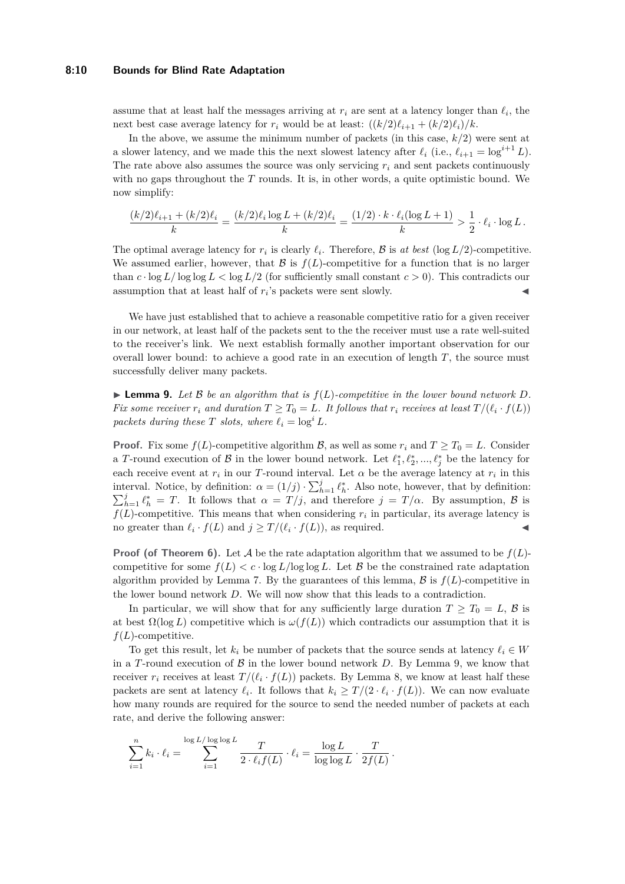#### **8:10 Bounds for Blind Rate Adaptation**

assume that at least half the messages arriving at  $r_i$  are sent at a latency longer than  $\ell_i$ , the next best case average latency for  $r_i$  would be at least:  $((k/2)\ell_{i+1} + (k/2)\ell_i)/k$ .

In the above, we assume the minimum number of packets (in this case, *k/*2) were sent at a slower latency, and we made this the next slowest latency after  $\ell_i$  (i.e.,  $\ell_{i+1} = \log^{i+1} L$ ). The rate above also assumes the source was only servicing  $r_i$  and sent packets continuously with no gaps throughout the *T* rounds. It is, in other words, a quite optimistic bound. We now simplify:

$$
\frac{(k/2)\ell_{i+1} + (k/2)\ell_i}{k} = \frac{(k/2)\ell_i \log L + (k/2)\ell_i}{k} = \frac{(1/2) \cdot k \cdot \ell_i (\log L + 1)}{k} > \frac{1}{2} \cdot \ell_i \cdot \log L.
$$

The optimal average latency for  $r_i$  is clearly  $\ell_i$ . Therefore,  $\mathcal{B}$  is *at best* (log  $L/2$ )-competitive. We assumed earlier, however, that  $\mathcal B$  is  $f(L)$ -competitive for a function that is no larger than  $c \cdot \log L / \log \log L < \log L / 2$  (for sufficiently small constant  $c > 0$ ). This contradicts our assumption that at least half of  $r_i$ 's packets were sent slowly.

We have just established that to achieve a reasonable competitive ratio for a given receiver in our network, at least half of the packets sent to the the receiver must use a rate well-suited to the receiver's link. We next establish formally another important observation for our overall lower bound: to achieve a good rate in an execution of length *T*, the source must successfully deliver many packets.

<span id="page-9-0"></span> $\blacktriangleright$  **Lemma 9.** Let B be an algorithm that is  $f(L)$ -competitive in the lower bound network D. *Fix some receiver*  $r_i$  and duration  $T \geq T_0 = L$ *. It follows that*  $r_i$  *receives at least*  $T/(\ell_i \cdot f(L))$ *packets during these T slots, where*  $\ell_i = \log^i L$ *.* 

**Proof.** Fix some  $f(L)$ -competitive algorithm B, as well as some  $r_i$  and  $T \geq T_0 = L$ . Consider a *T*-round execution of  $\mathcal{B}$  in the lower bound network. Let  $\ell_1^*, \ell_2^*, ..., \ell_j^*$  be the latency for each receive event at  $r_i$  in our *T*-round interval. Let  $\alpha$  be the average latency at  $r_i$  in this interval. Notice, by definition:  $\alpha = (1/j) \cdot \sum_{h=1}^{j} \ell_h^*$ . Also note, however, that by definition:  $\sum_{h=1}^{j} \ell_h^* = T$ . It follows that  $\alpha = T/j$ , and therefore  $j = T/\alpha$ . By assumption,  $\beta$  is  $f(L)$ -competitive. This means that when considering  $r_i$  in particular, its average latency is no greater than  $\ell_i \cdot f(L)$  and  $j \geq T/(\ell_i \cdot f(L))$ , as required.

**Proof (of Theorem [6\)](#page-8-1).** Let A be the rate adaptation algorithm that we assumed to be  $f(L)$ competitive for some  $f(L) < c \cdot \log L / \log \log L$ . Let B be the constrained rate adaptation algorithm provided by Lemma [7.](#page-8-2) By the guarantees of this lemma,  $\beta$  is  $f(L)$ -competitive in the lower bound network *D*. We will now show that this leads to a contradiction.

In particular, we will show that for any sufficiently large duration  $T \geq T_0 = L$ ,  $\beta$  is at best  $\Omega(\log L)$  competitive which is  $\omega(f(L))$  which contradicts our assumption that it is  $f(L)$ -competitive.

To get this result, let  $k_i$  be number of packets that the source sends at latency  $\ell_i \in W$ in a *T*-round execution of  $\beta$  in the lower bound network *D*. By Lemma [9,](#page-9-0) we know that receiver  $r_i$  receives at least  $T/(\ell_i \cdot f(L))$  packets. By Lemma [8,](#page-8-3) we know at least half these packets are sent at latency  $\ell_i$ . It follows that  $k_i \geq T/(2 \cdot \ell_i \cdot f(L))$ . We can now evaluate how many rounds are required for the source to send the needed number of packets at each rate, and derive the following answer:

$$
\sum_{i=1}^n k_i \cdot \ell_i = \sum_{i=1}^{\log L/\log \log L} \frac{T}{2 \cdot \ell_i f(L)} \cdot \ell_i = \frac{\log L}{\log \log L} \cdot \frac{T}{2f(L)}.
$$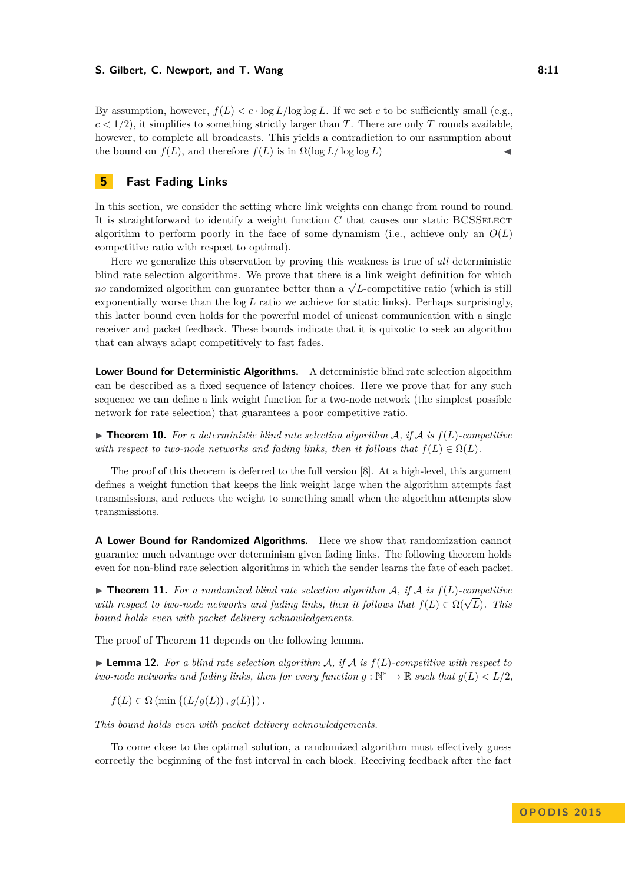#### **S. Gilbert, C. Newport, and T. Wang 8:11 8:11**

By assumption, however,  $f(L) < c \cdot \log L / \log \log L$ . If we set *c* to be sufficiently small (e.g.,  $c < 1/2$ ), it simplifies to something strictly larger than *T*. There are only *T* rounds available, however, to complete all broadcasts. This yields a contradiction to our assumption about the bound on  $f(L)$ , and therefore  $f(L)$  is in  $\Omega(\log L/\log \log L)$ 

# **5 Fast Fading Links**

In this section, we consider the setting where link weights can change from round to round. It is straightforward to identify a weight function C that causes our static BCSSELECT algorithm to perform poorly in the face of some dynamism (i.e., achieve only an *O*(*L*) competitive ratio with respect to optimal).

Here we generalize this observation by proving this weakness is true of *all* deterministic blind rate selection algorithms. We prove that there is a link weight definition for which bind rate selection algorithms. We prove that there is a link weight definition for which  $no$  randomized algorithm can guarantee better than a  $\sqrt{L}$ -competitive ratio (which is still exponentially worse than the log *L* ratio we achieve for static links). Perhaps surprisingly, this latter bound even holds for the powerful model of unicast communication with a single receiver and packet feedback. These bounds indicate that it is quixotic to seek an algorithm that can always adapt competitively to fast fades.

**Lower Bound for Deterministic Algorithms.** A deterministic blind rate selection algorithm can be described as a fixed sequence of latency choices. Here we prove that for any such sequence we can define a link weight function for a two-node network (the simplest possible network for rate selection) that guarantees a poor competitive ratio.

 $\triangleright$  **Theorem 10.** For a deterministic blind rate selection algorithm A, if A is  $f(L)$ -competitive *with respect to two-node networks and fading links, then it follows that*  $f(L) \in \Omega(L)$ *.* 

The proof of this theorem is deferred to the full version [\[8\]](#page-15-0). At a high-level, this argument defines a weight function that keeps the link weight large when the algorithm attempts fast transmissions, and reduces the weight to something small when the algorithm attempts slow transmissions.

**A Lower Bound for Randomized Algorithms.** Here we show that randomization cannot guarantee much advantage over determinism given fading links. The following theorem holds even for non-blind rate selection algorithms in which the sender learns the fate of each packet.

<span id="page-10-0"></span> $\triangleright$  **Theorem 11.** For a randomized blind rate selection algorithm A, if A is  $f(L)$ -competitive **with respect to two-node networks and fading links, then it follows that**  $f(L) \in \Omega(\sqrt{L})$ **. This** *bound holds even with packet delivery acknowledgements.*

The proof of Theorem [11](#page-10-0) depends on the following lemma.

<span id="page-10-1"></span> $\blacktriangleright$  **Lemma 12.** For a blind rate selection algorithm A, if A is  $f(L)$ -competitive with respect to *two-node networks and fading links, then for every function*  $g : \mathbb{N}^* \to \mathbb{R}$  such that  $g(L) < L/2$ ,

$$
f(L) \in \Omega \left( \min \left\{ \left( L/g(L) \right), g(L) \right\} \right).
$$

*This bound holds even with packet delivery acknowledgements.*

To come close to the optimal solution, a randomized algorithm must effectively guess correctly the beginning of the fast interval in each block. Receiving feedback after the fact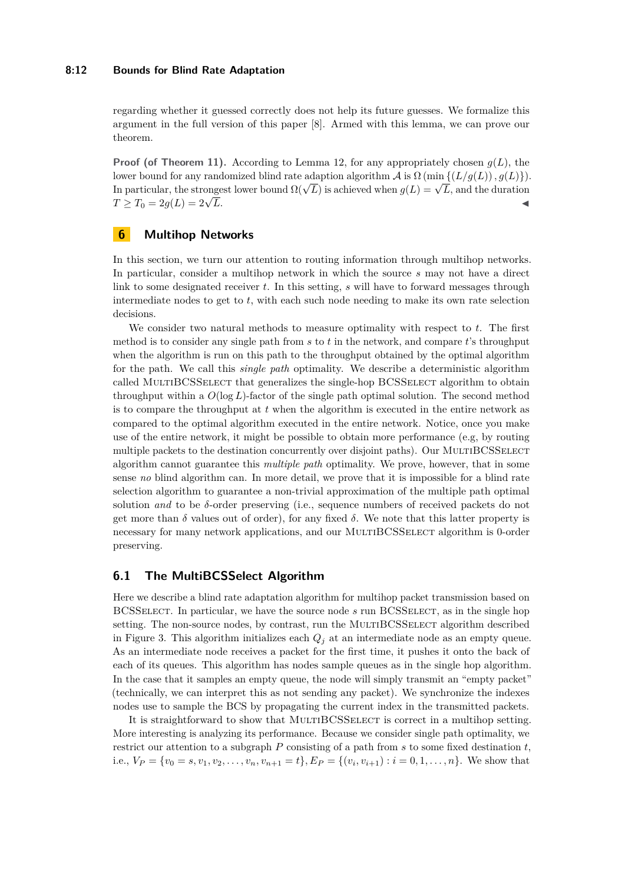#### **8:12 Bounds for Blind Rate Adaptation**

regarding whether it guessed correctly does not help its future guesses. We formalize this argument in the full version of this paper [\[8\]](#page-15-0). Armed with this lemma, we can prove our theorem.

**Proof (of Theorem [11\)](#page-10-0).** According to Lemma [12,](#page-10-1) for any appropriately chosen  $g(L)$ , the lower bound for any randomized blind rate adaption algorithm  $\mathcal A$  is  $\Omega$  (min { $(L/g(L))$ *, g*(*L*)}). In particular, the strongest lower bound  $\Omega(\sqrt{L})$  is achieved when  $g(L) = \sqrt{L}$ , and the duration  $T \geq T_0 = 2g(L) = 2\sqrt{L}.$  $\overline{L}$ .

# **6 Multihop Networks**

In this section, we turn our attention to routing information through multihop networks. In particular, consider a multihop network in which the source *s* may not have a direct link to some designated receiver *t*. In this setting, *s* will have to forward messages through intermediate nodes to get to *t*, with each such node needing to make its own rate selection decisions.

We consider two natural methods to measure optimality with respect to *t*. The first method is to consider any single path from *s* to *t* in the network, and compare *t*'s throughput when the algorithm is run on this path to the throughput obtained by the optimal algorithm for the path. We call this *single path* optimality. We describe a deterministic algorithm called MULTIBCSSELECT that generalizes the single-hop BCSSELECT algorithm to obtain throughput within a *O*(log *L*)-factor of the single path optimal solution. The second method is to compare the throughput at *t* when the algorithm is executed in the entire network as compared to the optimal algorithm executed in the entire network. Notice, once you make use of the entire network, it might be possible to obtain more performance (e.g, by routing multiple packets to the destination concurrently over disjoint paths). Our MULTIBCSSELECT algorithm cannot guarantee this *multiple path* optimality. We prove, however, that in some sense *no* blind algorithm can. In more detail, we prove that it is impossible for a blind rate selection algorithm to guarantee a non-trivial approximation of the multiple path optimal solution *and* to be *δ*-order preserving (i.e., sequence numbers of received packets do not get more than  $\delta$  values out of order), for any fixed  $\delta$ . We note that this latter property is necessary for many network applications, and our MultiBCSSelect algorithm is 0-order preserving.

## **6.1 The MultiBCSSelect Algorithm**

Here we describe a blind rate adaptation algorithm for multihop packet transmission based on BCSSelect. In particular, we have the source node *s* run BCSSelect, as in the single hop setting. The non-source nodes, by contrast, run the MULTIBCSSELECT algorithm described in Figure [3.](#page-12-0) This algorithm initializes each *Q<sup>j</sup>* at an intermediate node as an empty queue. As an intermediate node receives a packet for the first time, it pushes it onto the back of each of its queues. This algorithm has nodes sample queues as in the single hop algorithm. In the case that it samples an empty queue, the node will simply transmit an "empty packet" (technically, we can interpret this as not sending any packet). We synchronize the indexes nodes use to sample the BCS by propagating the current index in the transmitted packets.

It is straightforward to show that MULTIBCSSELECT is correct in a multihop setting. More interesting is analyzing its performance. Because we consider single path optimality, we restrict our attention to a subgraph *P* consisting of a path from *s* to some fixed destination *t*, i.e.,  $V_P = \{v_0 = s, v_1, v_2, \dots, v_n, v_{n+1} = t\}$ ,  $E_P = \{(v_i, v_{i+1}) : i = 0, 1, \dots, n\}$ . We show that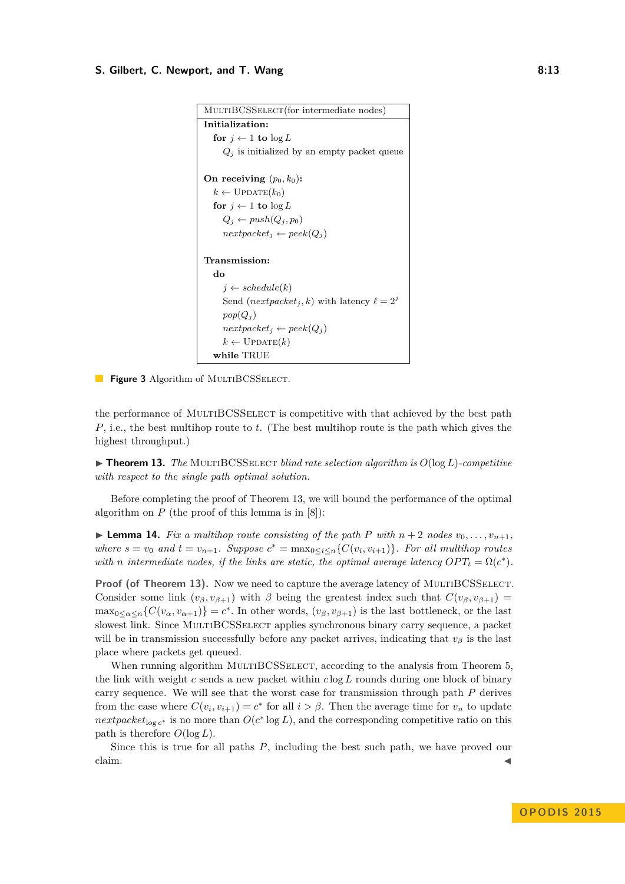#### <span id="page-12-0"></span>**S. Gilbert, C. Newport, and T. Wang 8:13 8:13**

```
MultiBCSSelect(for intermediate nodes)
Initialization:
   for j \leftarrow 1 to \log L\mathcal{Q}_j is initialized by an empty packet queue
On receiving (p_0, k_0):
   k \leftarrow \text{UPDATE}(k_0)for j \leftarrow 1 to \log LQ_j \leftarrow push(Q_j, p_0)nextpacket_j \leftarrow peek(Q_j)Transmission:
   do
      j \leftarrow schedule(k)Send (nextpacket<sub>i</sub>, k) with latency \ell = 2^jpop(Q_i)nextpacket_i \leftarrow peek(Q_i)k \leftarrow \text{UPDATE}(k)while TRUE
```
**Figure 3** Algorithm of MULTIBCSSELECT.

the performance of MULTIBCSSELECT is competitive with that achieved by the best path *P*, i.e., the best multihop route to *t*. (The best multihop route is the path which gives the highest throughput.)

<span id="page-12-1"></span> $\blacktriangleright$  **Theorem 13.** *The* MULTIBCSSELECT *blind rate selection algorithm is*  $O(log L)$ *-competitive with respect to the single path optimal solution.*

Before completing the proof of Theorem [13,](#page-12-1) we will bound the performance of the optimal algorithm on  $P$  (the proof of this lemma is in [\[8\]](#page-15-0)):

**Example 14.** Fix a multihop route consisting of the path P with  $n+2$  nodes  $v_0, \ldots, v_{n+1}$ , *where*  $s = v_0$  *and*  $t = v_{n+1}$ *. Suppose*  $c^* = \max_{0 \le i \le n} \{C(v_i, v_{i+1})\}$ *. For all multihop routes with n* intermediate nodes, if the links are static, the optimal average latency  $OPT_t = \Omega(c^*)$ .

**Proof (of Theorem [13\)](#page-12-1).** Now we need to capture the average latency of MULTIBCSSELECT. Consider some link  $(v_{\beta}, v_{\beta+1})$  with  $\beta$  being the greatest index such that  $C(v_{\beta}, v_{\beta+1})$  =  $\max_{0 \leq \alpha \leq n} \{C(v_\alpha, v_{\alpha+1})\} = c^*$ . In other words,  $(v_\beta, v_{\beta+1})$  is the last bottleneck, or the last slowest link. Since MULTIBCSSELECT applies synchronous binary carry sequence, a packet will be in transmission successfully before any packet arrives, indicating that  $v<sub>β</sub>$  is the last place where packets get queued.

When running algorithm MULTIBCSSELECT, according to the analysis from Theorem 5. the link with weight *c* sends a new packet within *c* log *L* rounds during one block of binary carry sequence. We will see that the worst case for transmission through path *P* derives from the case where  $C(v_i, v_{i+1}) = c^*$  for all  $i > \beta$ . Then the average time for  $v_n$  to update *nextpacket*<sub>log *c*<sup>\*</sup></sub> is no more than  $O(c^* \log L)$ , and the corresponding competitive ratio on this path is therefore  $O(\log L)$ .

Since this is true for all paths *P*, including the best such path, we have proved our  $\alpha$ claim.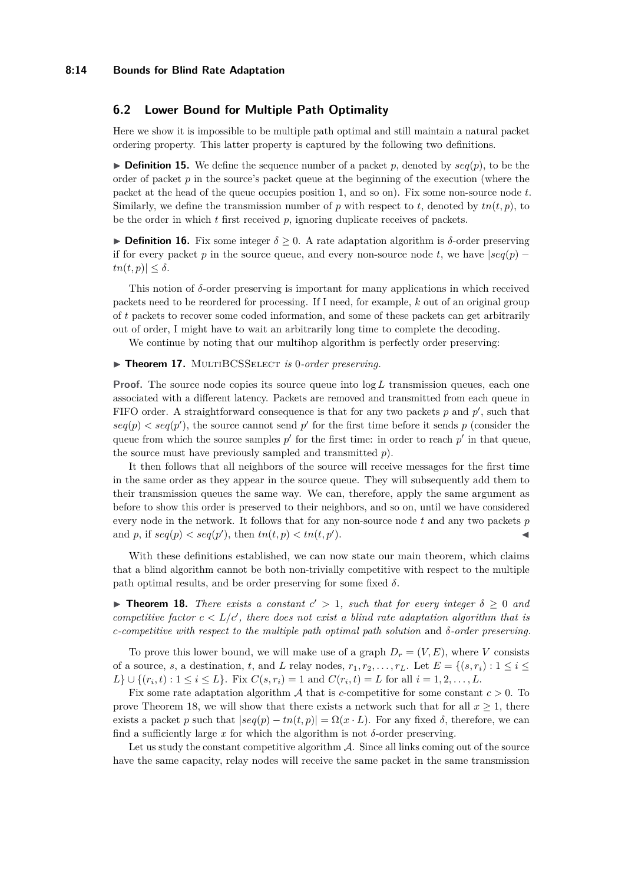#### **8:14 Bounds for Blind Rate Adaptation**

## **6.2 Lower Bound for Multiple Path Optimality**

Here we show it is impossible to be multiple path optimal and still maintain a natural packet ordering property. This latter property is captured by the following two definitions.

 $\triangleright$  **Definition 15.** We define the sequence number of a packet *p*, denoted by  $seq(p)$ , to be the order of packet *p* in the source's packet queue at the beginning of the execution (where the packet at the head of the queue occupies position 1, and so on). Fix some non-source node *t*. Similarly, we define the transmission number of  $p$  with respect to  $t$ , denoted by  $tn(t, p)$ , to be the order in which *t* first received *p*, ignoring duplicate receives of packets.

**Definition 16.** Fix some integer  $\delta \geq 0$ . A rate adaptation algorithm is  $\delta$ -order preserving if for every packet *p* in the source queue, and every non-source node *t*, we have  $|seq(p)$  $tn(t,p)| \leq \delta$ .

This notion of *δ*-order preserving is important for many applications in which received packets need to be reordered for processing. If I need, for example, *k* out of an original group of *t* packets to recover some coded information, and some of these packets can get arbitrarily out of order, I might have to wait an arbitrarily long time to complete the decoding.

We continue by noting that our multihop algorithm is perfectly order preserving:

#### ▶ Theorem 17. MULTIBCSSELECT *is* 0-order preserving.

**Proof.** The source node copies its source queue into  $\log L$  transmission queues, each one associated with a different latency. Packets are removed and transmitted from each queue in FIFO order. A straightforward consequence is that for any two packets  $p$  and  $p'$ , such that  $seq(p)$  <  $seq(p')$ , the source cannot send p' for the first time before it sends p (consider the queue from which the source samples  $p'$  for the first time: in order to reach  $p'$  in that queue, the source must have previously sampled and transmitted *p*).

It then follows that all neighbors of the source will receive messages for the first time in the same order as they appear in the source queue. They will subsequently add them to their transmission queues the same way. We can, therefore, apply the same argument as before to show this order is preserved to their neighbors, and so on, until we have considered every node in the network. It follows that for any non-source node *t* and any two packets *p* and *p*, if  $seq(p) < seq(p')$ , then  $tn(t, p) < tn(t, p')$  $\blacksquare$ ).

With these definitions established, we can now state our main theorem, which claims that a blind algorithm cannot be both non-trivially competitive with respect to the multiple path optimal results, and be order preserving for some fixed  $\delta$ .

<span id="page-13-0"></span>**Theorem 18.** *There exists a constant*  $c' > 1$ *, such that for every integer*  $\delta \geq 0$  *and competitive factor*  $c < L/c'$ , there does not exist a blind rate adaptation algorithm that is *c-competitive with respect to the multiple path optimal path solution* and *δ-order preserving.*

To prove this lower bound, we will make use of a graph  $D_r = (V, E)$ , where *V* consists of a source, *s*, a destination, *t*, and *L* relay nodes,  $r_1, r_2, \ldots, r_L$ . Let  $E = \{(s, r_i) : 1 \leq i \leq L\}$  $L$ }  $\cup$  { $(r_i, t) : 1 \leq i \leq L$ }. Fix  $C(s, r_i) = 1$  and  $C(r_i, t) = L$  for all  $i = 1, 2, ..., L$ .

Fix some rate adaptation algorithm A that is *c*-competitive for some constant *c >* 0. To prove Theorem [18,](#page-13-0) we will show that there exists a network such that for all  $x \geq 1$ , there exists a packet *p* such that  $|seq(p) - tn(t, p)| = \Omega(x \cdot L)$ . For any fixed  $\delta$ , therefore, we can find a sufficiently large x for which the algorithm is not  $\delta$ -order preserving.

Let us study the constant competitive algorithm  $A$ . Since all links coming out of the source have the same capacity, relay nodes will receive the same packet in the same transmission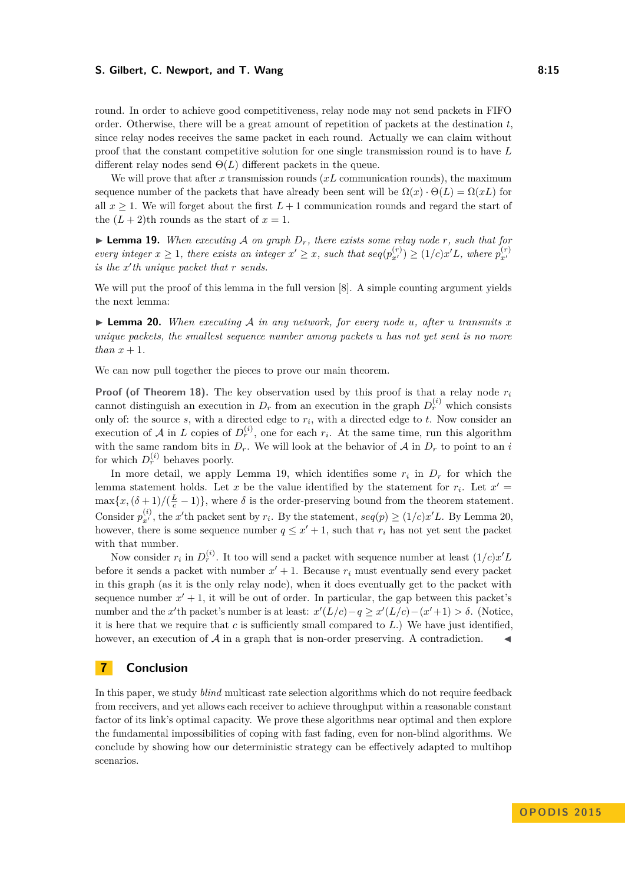#### **S. Gilbert, C. Newport, and T. Wang 8:15 8:15**

round. In order to achieve good competitiveness, relay node may not send packets in FIFO order. Otherwise, there will be a great amount of repetition of packets at the destination *t*, since relay nodes receives the same packet in each round. Actually we can claim without proof that the constant competitive solution for one single transmission round is to have *L* different relay nodes send  $\Theta(L)$  different packets in the queue.

We will prove that after *x* transmission rounds (*xL* communication rounds), the maximum sequence number of the packets that have already been sent will be  $\Omega(x) \cdot \Theta(L) = \Omega(xL)$  for all  $x \geq 1$ . We will forget about the first  $L+1$  communication rounds and regard the start of the  $(L+2)$ <sup>th</sup> rounds as the start of  $x=1$ .

<span id="page-14-0"></span> $\blacktriangleright$  **Lemma 19.** When executing A on graph  $D_r$ , there exists some relay node r, such that for every integer  $x \ge 1$ , there exists an integer  $x' \ge x$ , such that  $seq(p_{x'}^{(r)}) \ge (1/c)x'L$ , where  $p_{x'}^{(r)}$  $i$ *s* the  $x'$ <sup>*th*</sup> unique packet that  $r$  *sends.* 

We will put the proof of this lemma in the full version [\[8\]](#page-15-0). A simple counting argument yields the next lemma:

<span id="page-14-1"></span> $\triangleright$  **Lemma 20.** *When executing* A *in any network, for every node <i>u, after u transmits x unique packets, the smallest sequence number among packets u has not yet sent is no more than*  $x + 1$ *.* 

We can now pull together the pieces to prove our main theorem.

**Proof (of Theorem [18\)](#page-13-0).** The key observation used by this proof is that a relay node *r<sup>i</sup>* cannot distinguish an execution in  $D_r$  from an execution in the graph  $D_r^{(i)}$  which consists only of: the source *s*, with a directed edge to *r<sup>i</sup>* , with a directed edge to *t*. Now consider an execution of  $A$  in  $L$  copies of  $D_r^{(i)}$ , one for each  $r_i$ . At the same time, run this algorithm with the same random bits in  $D_r$ . We will look at the behavior of  $A$  in  $D_r$  to point to an *i* for which  $D_r^{(i)}$  behaves poorly.

In more detail, we apply Lemma [19,](#page-14-0) which identifies some  $r_i$  in  $D_r$  for which the lemma statement holds. Let *x* be the value identified by the statement for  $r_i$ . Let  $x' =$  $\max\{x, (\delta+1)/(\frac{L}{c}-1)\}\$ , where  $\delta$  is the order-preserving bound from the theorem statement. Consider  $p_{x'}^{(i)}$ , the *x*'th packet sent by  $r_i$ . By the statement,  $seq(p) \ge (1/c)x'L$ . By Lemma [20,](#page-14-1) however, there is some sequence number  $q \leq x' + 1$ , such that  $r_i$  has not yet sent the packet with that number.

Now consider  $r_i$  in  $D_r^{(i)}$ . It too will send a packet with sequence number at least  $(1/c)x'L$ before it sends a packet with number  $x' + 1$ . Because  $r_i$  must eventually send every packet in this graph (as it is the only relay node), when it does eventually get to the packet with sequence number  $x' + 1$ , it will be out of order. In particular, the gap between this packet's number and the *x*'th packet's number is at least:  $x'(L/c) - q \ge x'(L/c) - (x' + 1) > \delta$ . (Notice, it is here that we require that *c* is sufficiently small compared to *L*.) We have just identified, however, an execution of  $A$  in a graph that is non-order preserving. A contradiction.

## **7 Conclusion**

In this paper, we study *blind* multicast rate selection algorithms which do not require feedback from receivers, and yet allows each receiver to achieve throughput within a reasonable constant factor of its link's optimal capacity. We prove these algorithms near optimal and then explore the fundamental impossibilities of coping with fast fading, even for non-blind algorithms. We conclude by showing how our deterministic strategy can be effectively adapted to multihop scenarios.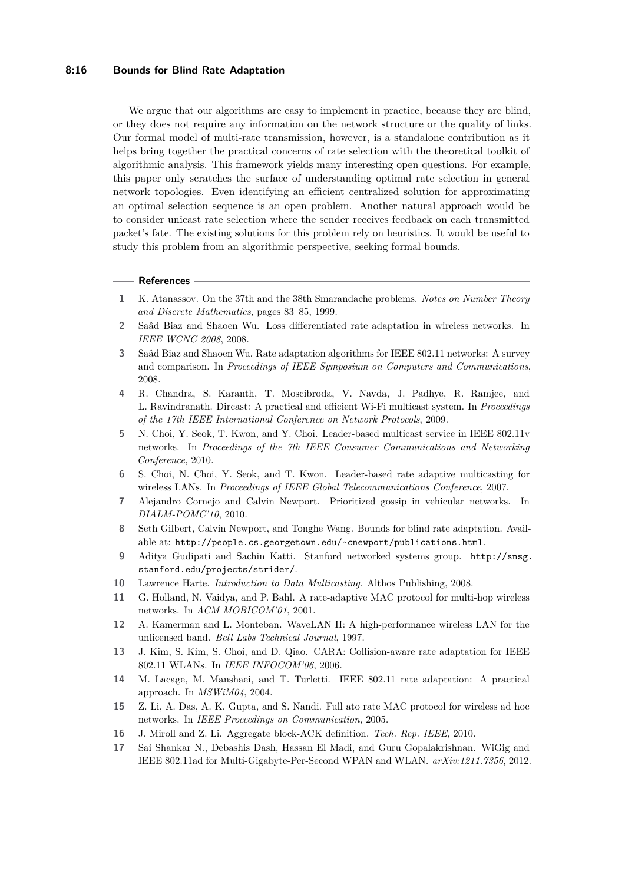#### **8:16 Bounds for Blind Rate Adaptation**

We argue that our algorithms are easy to implement in practice, because they are blind, or they does not require any information on the network structure or the quality of links. Our formal model of multi-rate transmission, however, is a standalone contribution as it helps bring together the practical concerns of rate selection with the theoretical toolkit of algorithmic analysis. This framework yields many interesting open questions. For example, this paper only scratches the surface of understanding optimal rate selection in general network topologies. Even identifying an efficient centralized solution for approximating an optimal selection sequence is an open problem. Another natural approach would be to consider unicast rate selection where the sender receives feedback on each transmitted packet's fate. The existing solutions for this problem rely on heuristics. It would be useful to study this problem from an algorithmic perspective, seeking formal bounds.

#### **References**

- <span id="page-15-15"></span>**1** K. Atanassov. On the 37th and the 38th Smarandache problems. *Notes on Number Theory and Discrete Mathematics*, pages 83–85, 1999.
- <span id="page-15-13"></span>**2** Saâd Biaz and Shaoen Wu. Loss differentiated rate adaptation in wireless networks. In *IEEE WCNC 2008*, 2008.
- <span id="page-15-5"></span>**3** Saâd Biaz and Shaoen Wu. Rate adaptation algorithms for IEEE 802.11 networks: A survey and comparison. In *Proceedings of IEEE Symposium on Computers and Communications*, 2008.
- <span id="page-15-3"></span>**4** R. Chandra, S. Karanth, T. Moscibroda, V. Navda, J. Padhye, R. Ramjee, and L. Ravindranath. Dircast: A practical and efficient Wi-Fi multicast system. In *Proceedings of the 17th IEEE International Conference on Network Protocols*, 2009.
- <span id="page-15-7"></span>**5** N. Choi, Y. Seok, T. Kwon, and Y. Choi. Leader-based multicast service in IEEE 802.11v networks. In *Proceedings of the 7th IEEE Consumer Communications and Networking Conference*, 2010.
- <span id="page-15-6"></span>**6** S. Choi, N. Choi, Y. Seok, and T. Kwon. Leader-based rate adaptive multicasting for wireless LANs. In *Proceedings of IEEE Global Telecommunications Conference*, 2007.
- <span id="page-15-16"></span>**7** Alejandro Cornejo and Calvin Newport. Prioritized gossip in vehicular networks. In *DIALM-POMC'10*, 2010.
- <span id="page-15-0"></span>**8** Seth Gilbert, Calvin Newport, and Tonghe Wang. Bounds for blind rate adaptation. Available at: [http://people.cs.georgetown.edu/~cnewport/publications.html]( http://people.cs.georgetown.edu/~cnewport/publications.html).
- <span id="page-15-14"></span>**9** Aditya Gudipati and Sachin Katti. Stanford networked systems group. [http://snsg.](http://snsg.stanford.edu/projects/strider/) [stanford.edu/projects/strider/](http://snsg.stanford.edu/projects/strider/).
- <span id="page-15-2"></span>**10** Lawrence Harte. *Introduction to Data Multicasting*. Althos Publishing, 2008.
- <span id="page-15-10"></span>**11** G. Holland, N. Vaidya, and P. Bahl. A rate-adaptive MAC protocol for multi-hop wireless networks. In *ACM MOBICOM'01*, 2001.
- <span id="page-15-8"></span>**12** A. Kamerman and L. Monteban. WaveLAN II: A high-performance wireless LAN for the unlicensed band. *Bell Labs Technical Journal*, 1997.
- <span id="page-15-12"></span>**13** J. Kim, S. Kim, S. Choi, and D. Qiao. CARA: Collision-aware rate adaptation for IEEE 802.11 WLANs. In *IEEE INFOCOM'06*, 2006.
- <span id="page-15-9"></span>**14** M. Lacage, M. Manshaei, and T. Turletti. IEEE 802.11 rate adaptation: A practical approach. In *MSWiM04*, 2004.
- <span id="page-15-11"></span>**15** Z. Li, A. Das, A. K. Gupta, and S. Nandi. Full ato rate MAC protocol for wireless ad hoc networks. In *IEEE Proceedings on Communication*, 2005.
- <span id="page-15-4"></span>**16** J. Miroll and Z. Li. Aggregate block-ACK definition. *Tech. Rep. IEEE*, 2010.
- <span id="page-15-1"></span>**17** Sai Shankar N., Debashis Dash, Hassan El Madi, and Guru Gopalakrishnan. WiGig and IEEE 802.11ad for Multi-Gigabyte-Per-Second WPAN and WLAN. *arXiv:1211.7356*, 2012.